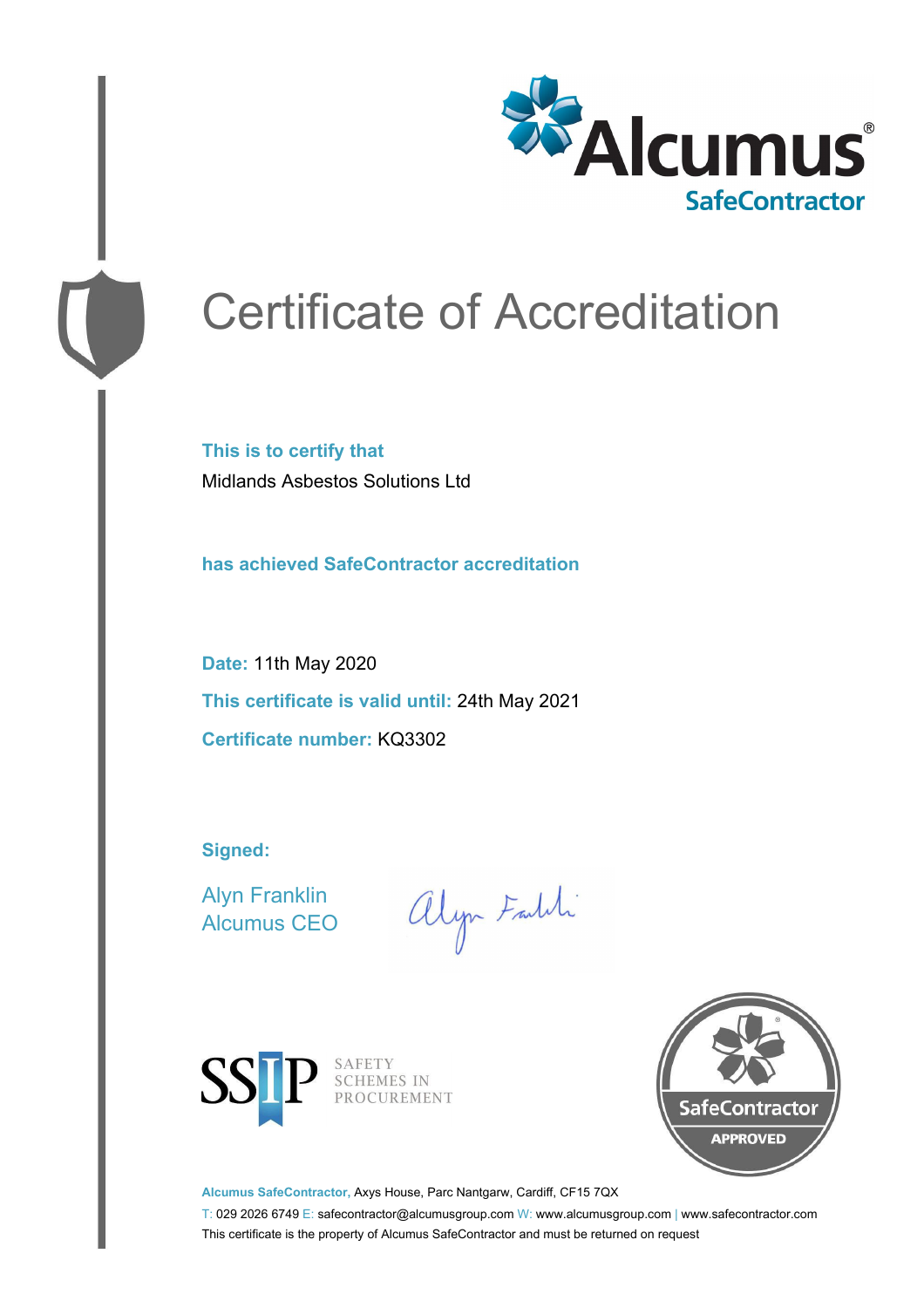

# Certificate of Accreditation

**This is to certify that** Midlands Asbestos Solutions Ltd

**has achieved SafeContractor accreditation**

**Date:** 11th May 2020 **This certificate is valid until:** 24th May 2021 **Certificate number:** KQ3302

**Signed:**

Alyn Franklin Alcumus CEO

alyn Faith



SAFETY<br>SCHEMES IN PROCUREMENT



**Alcumus SafeContractor,** Axys House, Parc Nantgarw, Cardiff, CF15 7QX

T: 029 2026 6749 E: safecontractor@alcumusgroup.com W: www.alcumusgroup.com | www.safecontractor.com This certificate is the property of Alcumus SafeContractor and must be returned on request